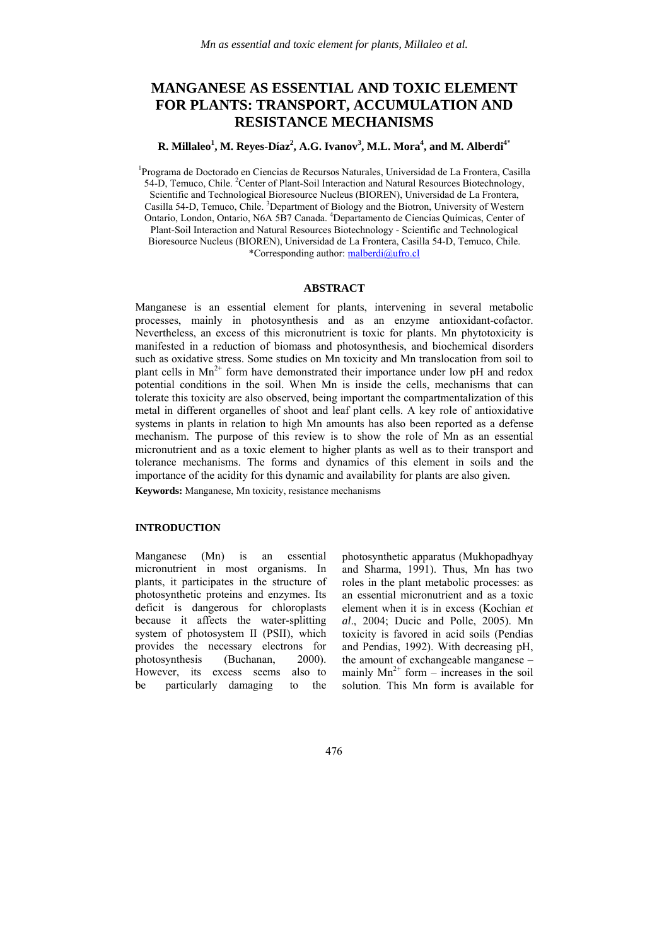# **MANGANESE AS ESSENTIAL AND TOXIC ELEMENT FOR PLANTS: TRANSPORT, ACCUMULATION AND RESISTANCE MECHANISMS**

 $R$ . Millaleo<sup>1</sup>, M. Reyes-Díaz<sup>2</sup>, A.G. Ivanov<sup>3</sup>, M.L. Mora<sup>4</sup>, and M. Alberdi<sup>4\*</sup>

<sup>1</sup>Programa de Doctorado en Ciencias de Recursos Naturales, Universidad de La Frontera, Casilla 54-D, Temuco, Chile. <sup>2</sup>Center of Plant-Soil Interaction and Natural Resources Biotechnology, Scientific and Technological Bioresource Nucleus (BIOREN), Universidad de La Frontera, Casilla 54-D, Temuco, Chile. <sup>3</sup>Department of Biology and the Biotron, University of Western Ontario, London, Ontario, N6A 5B7 Canada. <sup>4</sup>Departamento de Ciencias Químicas, Center of Plant-Soil Interaction and Natural Resources Biotechnology - Scientific and Technological Bioresource Nucleus (BIOREN), Universidad de La Frontera, Casilla 54-D, Temuco, Chile. \*Corresponding author: malberdi@ufro.cl

#### **ABSTRACT**

Manganese is an essential element for plants, intervening in several metabolic processes, mainly in photosynthesis and as an enzyme antioxidant-cofactor. Nevertheless, an excess of this micronutrient is toxic for plants. Mn phytotoxicity is manifested in a reduction of biomass and photosynthesis, and biochemical disorders such as oxidative stress. Some studies on Mn toxicity and Mn translocation from soil to plant cells in  $Mn^{2+}$  form have demonstrated their importance under low pH and redox potential conditions in the soil. When Mn is inside the cells, mechanisms that can tolerate this toxicity are also observed, being important the compartmentalization of this metal in different organelles of shoot and leaf plant cells. A key role of antioxidative systems in plants in relation to high Mn amounts has also been reported as a defense mechanism. The purpose of this review is to show the role of Mn as an essential micronutrient and as a toxic element to higher plants as well as to their transport and tolerance mechanisms. The forms and dynamics of this element in soils and the importance of the acidity for this dynamic and availability for plants are also given.

**Keywords:** Manganese, Mn toxicity, resistance mechanisms

#### **INTRODUCTION**

Manganese (Mn) is an essential micronutrient in most organisms. In plants, it participates in the structure of photosynthetic proteins and enzymes. Its deficit is dangerous for chloroplasts because it affects the water-splitting system of photosystem II (PSII), which provides the necessary electrons for photosynthesis (Buchanan, 2000). However, its excess seems also to be particularly damaging to the

photosynthetic apparatus (Mukhopadhyay and Sharma, 1991). Thus, Mn has two roles in the plant metabolic processes: as an essential micronutrient and as a toxic element when it is in excess (Kochian *et al*., 2004; Ducic and Polle, 2005). Mn toxicity is favored in acid soils (Pendias and Pendias, 1992). With decreasing pH, the amount of exchangeable manganese – mainly  $Mn^{2+}$  form – increases in the soil solution. This Mn form is available for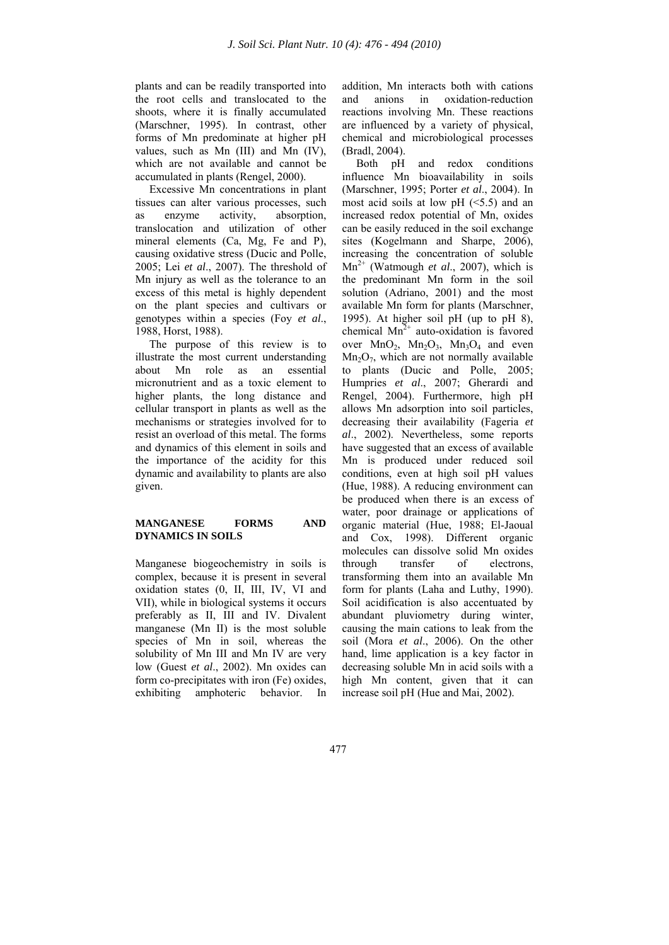plants and can be readily transported into the root cells and translocated to the shoots, where it is finally accumulated (Marschner, 1995). In contrast, other forms of Mn predominate at higher pH values, such as Mn (III) and Mn (IV), which are not available and cannot be accumulated in plants (Rengel, 2000).

 Excessive Mn concentrations in plant tissues can alter various processes, such<br>as enzyme activity, absorption, as enzyme activity, absorption, translocation and utilization of other mineral elements (Ca, Mg, Fe and P), causing oxidative stress (Ducic and Polle, 2005; Lei *et al*., 2007). The threshold of Mn injury as well as the tolerance to an excess of this metal is highly dependent on the plant species and cultivars or genotypes within a species (Foy *et al*., 1988, Horst, 1988).

 The purpose of this review is to illustrate the most current understanding about Mn role as an essential micronutrient and as a toxic element to higher plants, the long distance and cellular transport in plants as well as the mechanisms or strategies involved for to resist an overload of this metal. The forms and dynamics of this element in soils and the importance of the acidity for this dynamic and availability to plants are also given.

# **MANGANESE FORMS AND DYNAMICS IN SOILS**

Manganese biogeochemistry in soils is complex, because it is present in several oxidation states (0, II, III, IV, VI and VII), while in biological systems it occurs preferably as II, III and IV. Divalent manganese (Mn II) is the most soluble species of Mn in soil, whereas the solubility of Mn III and Mn IV are very low (Guest *et al*., 2002). Mn oxides can form co-precipitates with iron (Fe) oxides, exhibiting amphoteric behavior. In

addition, Mn interacts both with cations and anions in oxidation-reduction reactions involving Mn. These reactions are influenced by a variety of physical, chemical and microbiological processes (Bradl, 2004).

 Both pH and redox conditions influence Mn bioavailability in soils (Marschner, 1995; Porter *et al*., 2004). In most acid soils at low pH  $(\leq 5.5)$  and an increased redox potential of Mn, oxides can be easily reduced in the soil exchange sites (Kogelmann and Sharpe, 2006), increasing the concentration of soluble  $Mn^{2+}$  (Watmough *et al.*, 2007), which is the predominant Mn form in the soil solution (Adriano, 2001) and the most available Mn form for plants (Marschner, 1995). At higher soil pH (up to pH 8), chemical  $Mn^{2+}$  auto-oxidation is favored over  $MnO_2$ ,  $Mn_2O_3$ ,  $Mn_3O_4$  and even  $Mn<sub>2</sub>O<sub>7</sub>$ , which are not normally available to plants (Ducic and Polle, 2005; Humpries *et al*., 2007; Gherardi and Rengel, 2004). Furthermore, high pH allows Mn adsorption into soil particles, decreasing their availability (Fageria *et al*., 2002). Nevertheless, some reports have suggested that an excess of available Mn is produced under reduced soil conditions, even at high soil pH values (Hue, 1988). A reducing environment can be produced when there is an excess of water, poor drainage or applications of organic material (Hue, 1988; El-Jaoual and Cox, 1998). Different organic molecules can dissolve solid Mn oxides through transfer of electrons, transforming them into an available Mn form for plants (Laha and Luthy, 1990). Soil acidification is also accentuated by abundant pluviometry during winter, causing the main cations to leak from the soil (Mora *et al*., 2006). On the other hand, lime application is a key factor in decreasing soluble Mn in acid soils with a high Mn content, given that it can increase soil pH (Hue and Mai, 2002).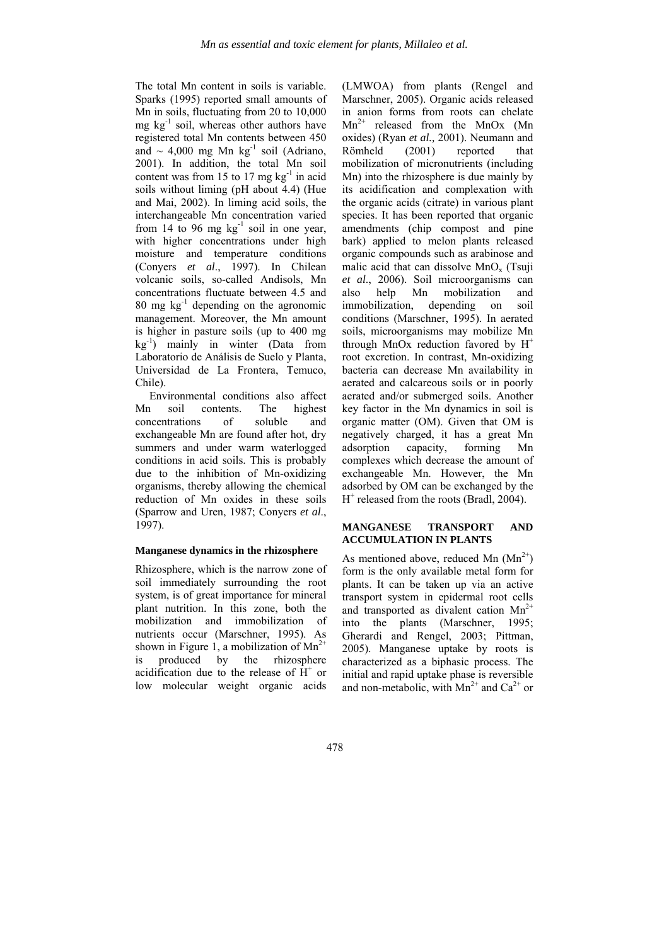The total Mn content in soils is variable. Sparks (1995) reported small amounts of Mn in soils, fluctuating from 20 to 10,000 mg  $kg^{-1}$  soil, whereas other authors have registered total Mn contents between 450 and  $\sim$  4,000 mg Mn kg<sup>-1</sup> soil (Adriano, 2001). In addition, the total Mn soil content was from 15 to 17 mg  $kg<sup>-1</sup>$  in acid soils without liming (pH about 4.4) (Hue and Mai, 2002). In liming acid soils, the interchangeable Mn concentration varied from 14 to 96 mg  $kg^{-1}$  soil in one year, with higher concentrations under high moisture and temperature conditions (Conyers *et al*., 1997). In Chilean volcanic soils, so-called Andisols, Mn concentrations fluctuate between 4.5 and 80 mg  $kg^{-1}$  depending on the agronomic management. Moreover, the Mn amount is higher in pasture soils (up to 400 mg  $kg^{-1}$ ) mainly in winter (Data from Laboratorio de Análisis de Suelo y Planta, Universidad de La Frontera, Temuco, Chile).

 Environmental conditions also affect Mn soil contents. The highest concentrations of soluble and exchangeable Mn are found after hot, dry summers and under warm waterlogged conditions in acid soils. This is probably due to the inhibition of Mn-oxidizing organisms, thereby allowing the chemical reduction of Mn oxides in these soils (Sparrow and Uren, 1987; Conyers *et al*., 1997).

#### **Manganese dynamics in the rhizosphere**

Rhizosphere, which is the narrow zone of soil immediately surrounding the root system, is of great importance for mineral plant nutrition. In this zone, both the mobilization and immobilization of nutrients occur (Marschner, 1995). As shown in Figure 1, a mobilization of  $Mn^{2+}$ is produced by the rhizosphere acidification due to the release of  $H^+$  or low molecular weight organic acids

(LMWOA) from plants (Rengel and Marschner, 2005). Organic acids released in anion forms from roots can chelate  $Mn^{2+}$  released from the MnOx (Mn oxides) (Ryan *et al.,* 2001). Neumann and Römheld (2001) reported that mobilization of micronutrients (including Mn) into the rhizosphere is due mainly by its acidification and complexation with the organic acids (citrate) in various plant species. It has been reported that organic amendments (chip compost and pine bark) applied to melon plants released organic compounds such as arabinose and malic acid that can dissolve  $MnO<sub>x</sub>$  (Tsuji *et al*., 2006). Soil microorganisms can also help Mn mobilization and immobilization, depending on soil conditions (Marschner, 1995). In aerated soils, microorganisms may mobilize Mn through MnOx reduction favored by  $H^+$ root excretion. In contrast, Mn-oxidizing bacteria can decrease Mn availability in aerated and calcareous soils or in poorly aerated and/or submerged soils. Another key factor in the Mn dynamics in soil is organic matter (OM). Given that OM is negatively charged, it has a great Mn adsorption capacity, forming Mn complexes which decrease the amount of exchangeable Mn. However, the Mn adsorbed by OM can be exchanged by the H<sup>+</sup> released from the roots (Bradl, 2004).

# **MANGANESE TRANSPORT AND ACCUMULATION IN PLANTS**

As mentioned above, reduced Mn  $(Mn^{2+})$ form is the only available metal form for plants. It can be taken up via an active transport system in epidermal root cells and transported as divalent cation  $Mn^{2+}$ into the plants (Marschner, 1995; Gherardi and Rengel, 2003; Pittman, 2005). Manganese uptake by roots is characterized as a biphasic process. The initial and rapid uptake phase is reversible and non-metabolic, with  $Mn^{2+}$  and  $Ca^{2+}$  or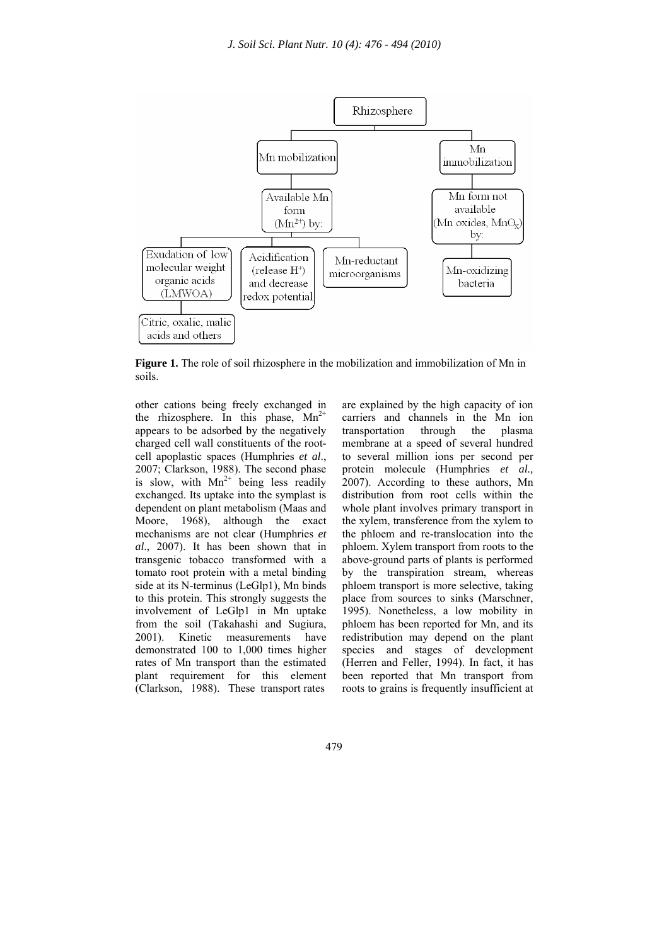

**Figure 1.** The role of soil rhizosphere in the mobilization and immobilization of Mn in soils.

other cations being freely exchanged in the rhizosphere. In this phase,  $Mn^{2+}$ appears to be adsorbed by the negatively charged cell wall constituents of the rootcell apoplastic spaces (Humphries *et al*., 2007; Clarkson, 1988). The second phase is slow, with  $Mn^{2+}$  being less readily exchanged. Its uptake into the symplast is dependent on plant metabolism (Maas and Moore, 1968), although the exact mechanisms are not clear (Humphries *et al*., 2007). It has been shown that in transgenic tobacco transformed with a tomato root protein with a metal binding side at its N-terminus (LeGlp1), Mn binds to this protein. This strongly suggests the involvement of LeGlp1 in Mn uptake from the soil (Takahashi and Sugiura, 2001). Kinetic measurements have demonstrated 100 to 1,000 times higher rates of Mn transport than the estimated plant requirement for this element (Clarkson, 1988). These transport rates

are explained by the high capacity of ion carriers and channels in the Mn ion transportation through the plasma membrane at a speed of several hundred to several million ions per second per protein molecule (Humphries *et al.,* 2007). According to these authors, Mn distribution from root cells within the whole plant involves primary transport in the xylem, transference from the xylem to the phloem and re-translocation into the phloem. Xylem transport from roots to the above-ground parts of plants is performed by the transpiration stream, whereas phloem transport is more selective, taking place from sources to sinks (Marschner, 1995). Nonetheless, a low mobility in phloem has been reported for Mn, and its redistribution may depend on the plant species and stages of development (Herren and Feller, 1994). In fact, it has been reported that Mn transport from roots to grains is frequently insufficient at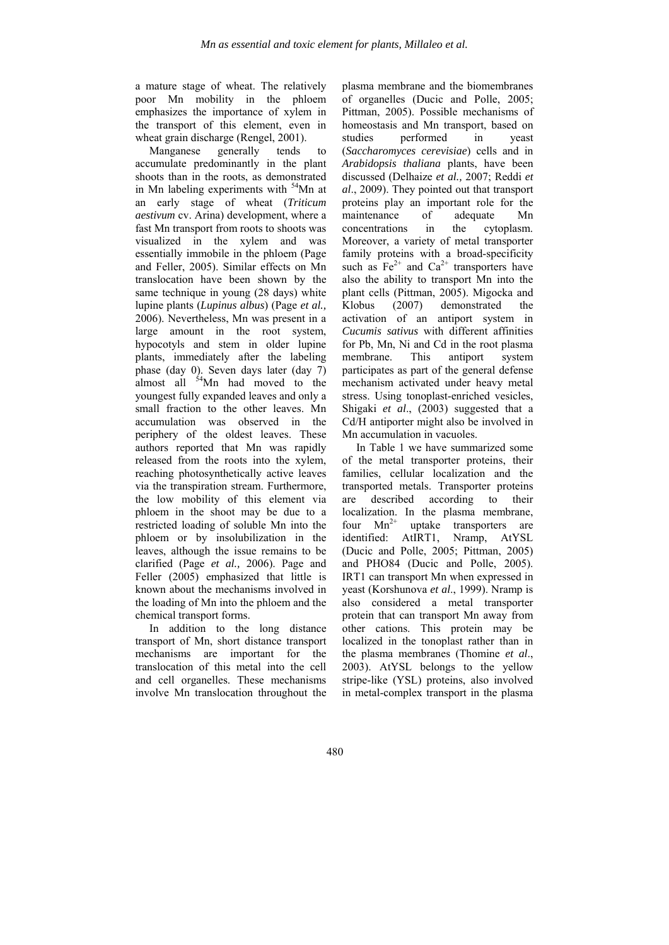a mature stage of wheat. The relatively poor Mn mobility in the phloem emphasizes the importance of xylem in the transport of this element, even in wheat grain discharge (Rengel, 2001).

 Manganese generally tends to accumulate predominantly in the plant shoots than in the roots, as demonstrated in Mn labeling experiments with 54Mn at an early stage of wheat (*Triticum aestivum* cv. Arina) development, where a fast Mn transport from roots to shoots was visualized in the xylem and was essentially immobile in the phloem (Page and Feller, 2005). Similar effects on Mn translocation have been shown by the same technique in young (28 days) white lupine plants (*Lupinus albus*) (Page *et al.,* 2006). Nevertheless, Mn was present in a large amount in the root system, hypocotyls and stem in older lupine plants, immediately after the labeling phase (day 0). Seven days later (day 7) almost all  $54$ Mn had moved to the youngest fully expanded leaves and only a small fraction to the other leaves. Mn accumulation was observed in the periphery of the oldest leaves. These authors reported that Mn was rapidly released from the roots into the xylem, reaching photosynthetically active leaves via the transpiration stream. Furthermore, the low mobility of this element via phloem in the shoot may be due to a restricted loading of soluble Mn into the phloem or by insolubilization in the leaves, although the issue remains to be clarified (Page *et al.,* 2006). Page and Feller (2005) emphasized that little is known about the mechanisms involved in the loading of Mn into the phloem and the chemical transport forms.

 In addition to the long distance transport of Mn, short distance transport mechanisms are important for the translocation of this metal into the cell and cell organelles. These mechanisms involve Mn translocation throughout the plasma membrane and the biomembranes of organelles (Ducic and Polle, 2005; Pittman, 2005). Possible mechanisms of homeostasis and Mn transport, based on studies performed in yeast (*Saccharomyces cerevisiae*) cells and in *Arabidopsis thaliana* plants, have been discussed (Delhaize *et al.,* 2007; Reddi *et al*., 2009). They pointed out that transport proteins play an important role for the maintenance of adequate Mn concentrations in the cytoplasm. Moreover, a variety of metal transporter family proteins with a broad-specificity such as  $Fe^{2+}$  and  $Ca^{2+}$  transporters have also the ability to transport Mn into the plant cells (Pittman, 2005). Migocka and Klobus (2007) demonstrated the activation of an antiport system in *Cucumis sativus* with different affinities for Pb, Mn, Ni and Cd in the root plasma membrane. This antiport system participates as part of the general defense mechanism activated under heavy metal stress. Using tonoplast-enriched vesicles, Shigaki *et al*., (2003) suggested that a Cd/H antiporter might also be involved in Mn accumulation in vacuoles.

 In Table 1 we have summarized some of the metal transporter proteins, their families, cellular localization and the transported metals. Transporter proteins are described according to their localization. In the plasma membrane, four  $Mn^{2+}$  uptake transporters are identified: AtIRT1, Nramp, AtYSL (Ducic and Polle, 2005; Pittman, 2005) and PHO84 (Ducic and Polle, 2005). IRT1 can transport Mn when expressed in yeast (Korshunova *et al*., 1999). Nramp is also considered a metal transporter protein that can transport Mn away from other cations. This protein may be localized in the tonoplast rather than in the plasma membranes (Thomine *et al*., 2003). AtYSL belongs to the yellow stripe-like (YSL) proteins, also involved in metal-complex transport in the plasma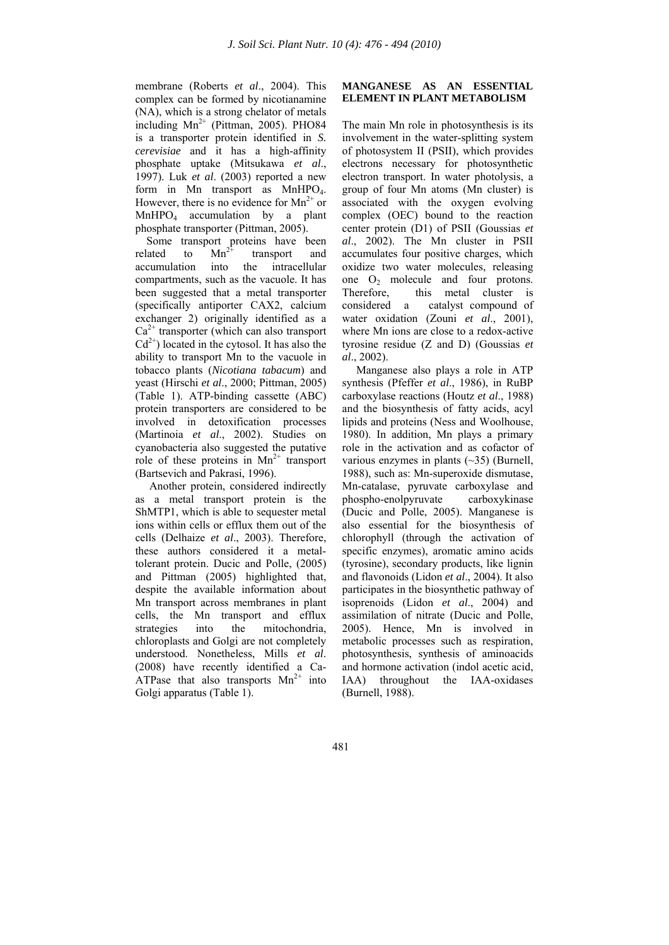membrane (Roberts *et al*., 2004). This complex can be formed by nicotianamine (NA), which is a strong chelator of metals including  $Mn^{2+}$  (Pittman, 2005). PHO84 is a transporter protein identified in *S. cerevisiae* and it has a high-affinity phosphate uptake (Mitsukawa *et al*., 1997). Luk *et al*. (2003) reported a new form in Mn transport as MnHPO<sub>4</sub>. However, there is no evidence for  $Mn^{2+}$  or MnHPO4 accumulation by a plant phosphate transporter (Pittman, 2005).

 Some transport proteins have been related to  $Mn^{2+}$  transport and accumulation into the intracellular compartments, such as the vacuole. It has been suggested that a metal transporter (specifically antiporter CAX2, calcium exchanger 2) originally identified as a  $Ca<sup>2+</sup>$  transporter (which can also transport  $Cd^{2+}$ ) located in the cytosol. It has also the ability to transport Mn to the vacuole in tobacco plants (*Nicotiana tabacum*) and yeast (Hirschi *et al*., 2000; Pittman, 2005) (Table 1). ATP-binding cassette (ABC) protein transporters are considered to be involved in detoxification processes (Martinoia *et al*., 2002). Studies on cyanobacteria also suggested the putative role of these proteins in  $Mn^{2+}$  transport (Bartsevich and Pakrasi, 1996).

 Another protein, considered indirectly as a metal transport protein is the ShMTP1, which is able to sequester metal ions within cells or efflux them out of the cells (Delhaize *et al*., 2003). Therefore, these authors considered it a metaltolerant protein. Ducic and Polle, (2005) and Pittman (2005) highlighted that, despite the available information about Mn transport across membranes in plant cells, the Mn transport and efflux strategies into the mitochondria, chloroplasts and Golgi are not completely understood. Nonetheless, Mills *et al*. (2008) have recently identified a Ca-ATPase that also transports  $Mn^{2+}$  into Golgi apparatus (Table 1).

# **MANGANESE AS AN ESSENTIAL ELEMENT IN PLANT METABOLISM**

The main Mn role in photosynthesis is its involvement in the water-splitting system of photosystem II (PSII), which provides electrons necessary for photosynthetic electron transport. In water photolysis, a group of four Mn atoms (Mn cluster) is associated with the oxygen evolving complex (OEC) bound to the reaction center protein (D1) of PSII (Goussias *et al*., 2002). The Mn cluster in PSII accumulates four positive charges, which oxidize two water molecules, releasing one  $O_2$  molecule and four protons. Therefore, this metal cluster is considered a catalyst compound of water oxidation (Zouni *et al*., 2001), where Mn ions are close to a redox-active tyrosine residue (Z and D) (Goussias *et al*., 2002).

 Manganese also plays a role in ATP synthesis (Pfeffer *et al*., 1986), in RuBP carboxylase reactions (Houtz *et al*., 1988) and the biosynthesis of fatty acids, acyl lipids and proteins (Ness and Woolhouse, 1980). In addition, Mn plays a primary role in the activation and as cofactor of various enzymes in plants (~35) (Burnell, 1988), such as: Mn-superoxide dismutase, Mn-catalase, pyruvate carboxylase and phospho-enolpyruvate carboxykinase (Ducic and Polle, 2005). Manganese is also essential for the biosynthesis of chlorophyll (through the activation of specific enzymes), aromatic amino acids (tyrosine), secondary products, like lignin and flavonoids (Lidon *et al*., 2004). It also participates in the biosynthetic pathway of isoprenoids (Lidon *et al*., 2004) and assimilation of nitrate (Ducic and Polle, 2005). Hence, Mn is involved in metabolic processes such as respiration, photosynthesis, synthesis of aminoacids and hormone activation (indol acetic acid, IAA) throughout the IAA-oxidases (Burnell, 1988).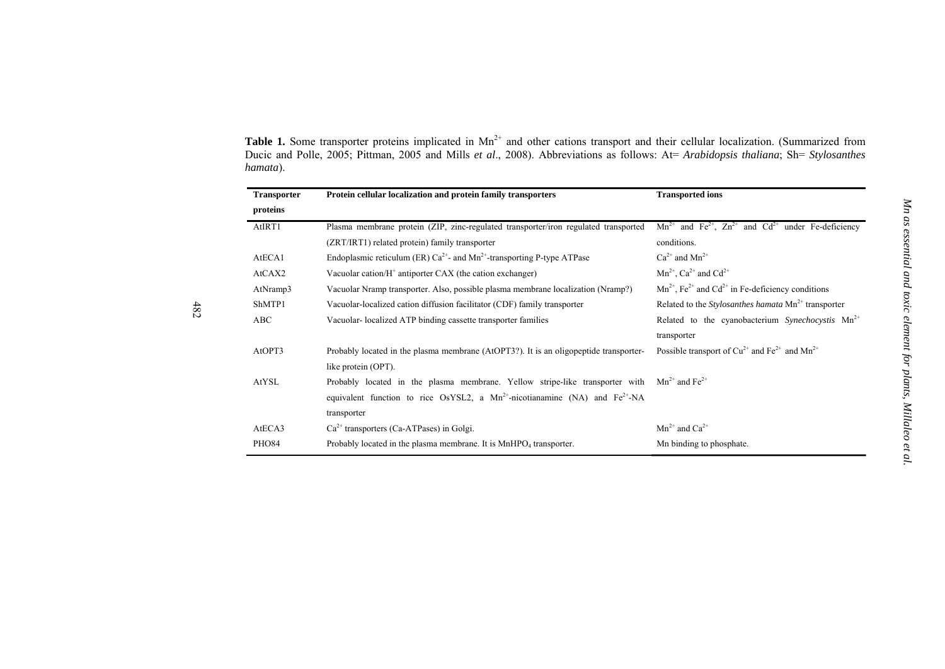**Table 1.** Some transporter proteins implicated in Mn<sup>2+</sup> and other cations transport and their cellular localization. (Summarized from Ducic and Polle, 2005; Pittman, 2005 and Mills *et al*., 2008). Abbreviations as follows: At= *Arabidopsis thaliana*; Sh= *Stylosanthes hamata*).

| <b>Transporter</b> | Protein cellular localization and protein family transporters                                | <b>Transported ions</b>                                                       |
|--------------------|----------------------------------------------------------------------------------------------|-------------------------------------------------------------------------------|
| proteins           |                                                                                              |                                                                               |
| AtIRT1             | Plasma membrane protein (ZIP, zinc-regulated transporter/iron regulated transported          | $Mn^{2+}$ and Fe <sup>2+</sup> , $Zn^{2+}$ and $Cd^{2+}$ under Fe-deficiency  |
|                    | (ZRT/IRT1) related protein) family transporter                                               | conditions.                                                                   |
| AtECA1             | Endoplasmic reticulum (ER) $Ca^{2+}$ and Mn <sup>2+</sup> -transporting P-type ATPase        | $Ca^{2+}$ and $Mn^{2+}$                                                       |
| AtCAX2             | Vacuolar cation/ $H^+$ antiporter CAX (the cation exchanger)                                 | $Mn^{2+}$ , Ca <sup>2+</sup> and Cd <sup>2+</sup>                             |
| AtNramp3           | Vacuolar Nramp transporter. Also, possible plasma membrane localization (Nramp?)             | $Mn^{2+}$ , Fe <sup>2+</sup> and Cd <sup>2+</sup> in Fe-deficiency conditions |
| ShMTP1             | Vacuolar-localized cation diffusion facilitator (CDF) family transporter                     | Related to the <i>Stylosanthes hamata</i> $Mn^{2+}$ transporter               |
| <b>ABC</b>         | Vacuolar-localized ATP binding cassette transporter families                                 | Related to the cyanobacterium Synechocystis $Mn^{2+}$                         |
|                    |                                                                                              | transporter                                                                   |
| AtOPT3             | Probably located in the plasma membrane (AtOPT3?). It is an oligopeptide transporter-        | Possible transport of $Cu^{2+}$ and $Fe^{2+}$ and $Mn^{2+}$                   |
|                    | like protein (OPT).                                                                          |                                                                               |
| AtYSL              | Probably located in the plasma membrane. Yellow stripe-like transporter with                 | $Mn^{2+}$ and $Fe^{2+}$                                                       |
|                    | equivalent function to rice OsYSL2, a $Mn^{2+}$ -nicotianamine (NA) and Fe <sup>2+</sup> -NA |                                                                               |
|                    | transporter                                                                                  |                                                                               |
| AtECA3             | $Ca2+$ transporters (Ca-ATPases) in Golgi.                                                   | $Mn^{2+}$ and $Ca^{2+}$                                                       |
| <b>PHO84</b>       | Probably located in the plasma membrane. It is MnHPO <sub>4</sub> transporter.               | Mn binding to phosphate.                                                      |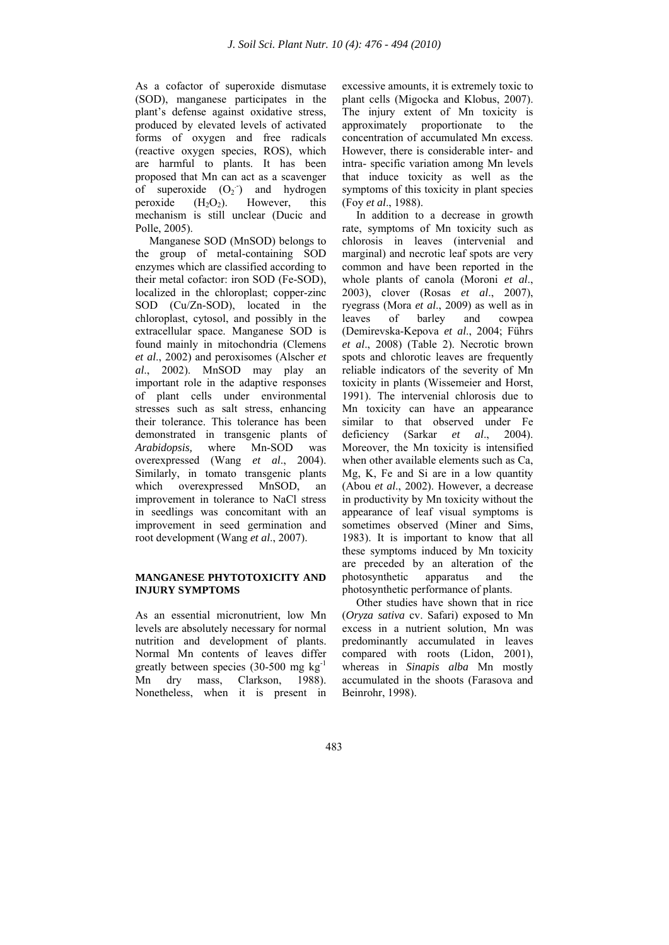As a cofactor of superoxide dismutase (SOD), manganese participates in the plant's defense against oxidative stress, produced by elevated levels of activated forms of oxygen and free radicals (reactive oxygen species, ROS), which are harmful to plants. It has been proposed that Mn can act as a scavenger of superoxide  $(O_2$ <sup>-</sup>) and hydrogen peroxide  $(H_2O_2)$ . However, this mechanism is still unclear (Ducic and Polle, 2005).

 Manganese SOD (MnSOD) belongs to the group of metal-containing SOD enzymes which are classified according to their metal cofactor: iron SOD (Fe-SOD), localized in the chloroplast; copper-zinc SOD (Cu/Zn-SOD), located in the chloroplast, cytosol, and possibly in the extracellular space. Manganese SOD is found mainly in mitochondria (Clemens *et al*., 2002) and peroxisomes (Alscher *et al*., 2002). MnSOD may play an important role in the adaptive responses of plant cells under environmental stresses such as salt stress, enhancing their tolerance. This tolerance has been demonstrated in transgenic plants of *Arabidopsis,* where Mn-SOD was overexpressed (Wang *et al*., 2004). Similarly, in tomato transgenic plants which overexpressed MnSOD, an improvement in tolerance to NaCl stress in seedlings was concomitant with an improvement in seed germination and root development (Wang *et al*., 2007).

# **MANGANESE PHYTOTOXICITY AND INJURY SYMPTOMS**

As an essential micronutrient, low Mn levels are absolutely necessary for normal nutrition and development of plants. Normal Mn contents of leaves differ greatly between species (30-500 mg kg-1 Mn dry mass, Clarkson, 1988). Nonetheless, when it is present in excessive amounts, it is extremely toxic to plant cells (Migocka and Klobus, 2007). The injury extent of Mn toxicity is approximately proportionate to the concentration of accumulated Mn excess. However, there is considerable inter- and intra- specific variation among Mn levels that induce toxicity as well as the symptoms of this toxicity in plant species (Foy *et al*., 1988).

 In addition to a decrease in growth rate, symptoms of Mn toxicity such as chlorosis in leaves (intervenial and marginal) and necrotic leaf spots are very common and have been reported in the whole plants of canola (Moroni *et al*., 2003), clover (Rosas *et al*., 2007), ryegrass (Mora *et al*., 2009) as well as in leaves of barley and cowpea (Demirevska-Kepova *et al*., 2004; Führs *et al*., 2008) (Table 2). Necrotic brown spots and chlorotic leaves are frequently reliable indicators of the severity of Mn toxicity in plants (Wissemeier and Horst, 1991). The intervenial chlorosis due to Mn toxicity can have an appearance similar to that observed under Fe deficiency (Sarkar *et al*., 2004). Moreover, the Mn toxicity is intensified when other available elements such as Ca, Mg, K, Fe and Si are in a low quantity (Abou *et al*., 2002). However, a decrease in productivity by Mn toxicity without the appearance of leaf visual symptoms is sometimes observed (Miner and Sims, 1983). It is important to know that all these symptoms induced by Mn toxicity are preceded by an alteration of the photosynthetic apparatus and the photosynthetic performance of plants.

 Other studies have shown that in rice (*Oryza sativa* cv. Safari) exposed to Mn excess in a nutrient solution, Mn was predominantly accumulated in leaves compared with roots (Lidon, 2001), whereas in *Sinapis alba* Mn mostly accumulated in the shoots (Farasova and Beinrohr, 1998).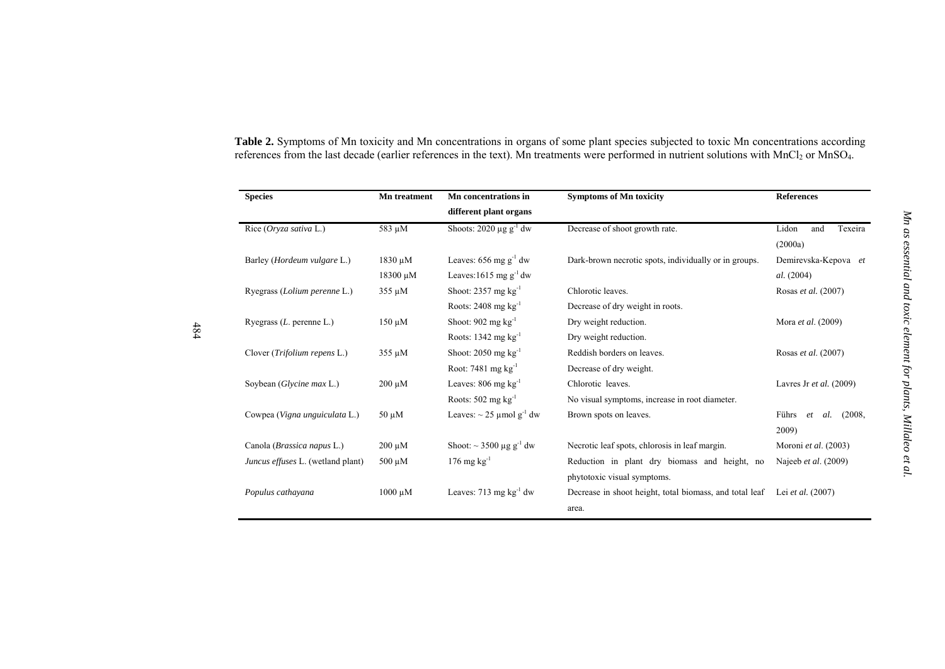| <b>Species</b>                    | Mn treatment | Mn concentrations in                      | <b>Symptoms of Mn toxicity</b>                          | <b>References</b>            |
|-----------------------------------|--------------|-------------------------------------------|---------------------------------------------------------|------------------------------|
|                                   |              | different plant organs                    |                                                         |                              |
| Rice (Oryza sativa L.)            | 583 µM       | Shoots: $2020 \mu g g^{-1} dw$            | Decrease of shoot growth rate.                          | Lidon<br>and<br>Texeira      |
|                                   |              |                                           |                                                         | (2000a)                      |
| Barley (Hordeum vulgare L.)       | 1830 μM      | Leaves: $656$ mg g <sup>-1</sup> dw       | Dark-brown necrotic spots, individually or in groups.   | Demirevska-Kepova et         |
|                                   | 18300 μM     | Leaves: $1615$ mg g <sup>-1</sup> dw      |                                                         | al. (2004)                   |
| Ryegrass (Lolium perenne L.)      | 355 µM       | Shoot: $2357$ mg $kg^{-1}$                | Chlorotic leaves.                                       | Rosas et al. (2007)          |
|                                   |              | Roots: $2408$ mg $kg^{-1}$                | Decrease of dry weight in roots.                        |                              |
| Ryegrass $(L)$ perenne L.)        | 150 μM       | Shoot: $902$ mg $kg^{-1}$                 | Dry weight reduction.                                   | Mora et al. (2009)           |
|                                   |              | Roots: $1342$ mg $kg^{-1}$                | Dry weight reduction.                                   |                              |
| Clover (Trifolium repens L.)      | 355 µM       | Shoot: $2050$ mg $kg^{-1}$                | Reddish borders on leaves.                              | Rosas et al. (2007)          |
|                                   |              | Root: $7481$ mg $kg^{-1}$                 | Decrease of dry weight.                                 |                              |
| Soybean (Glycine max L.)          | $200 \mu M$  | Leaves: 806 mg kg <sup>-1</sup>           | Chlorotic leaves.                                       | Lavres Jr et al. $(2009)$    |
|                                   |              | Roots: 502 mg kg <sup>-1</sup>            | No visual symptoms, increase in root diameter.          |                              |
| Cowpea (Vigna unguiculata L.)     | $50 \mu M$   | Leaves: $\sim$ 25 µmol g <sup>-1</sup> dw | Brown spots on leaves.                                  | (2008,<br>Führs<br>al.<br>et |
|                                   |              |                                           |                                                         | 2009)                        |
| Canola (Brassica napus L.)        | $200 \mu M$  | Shoot: $\sim$ 3500 µg g <sup>-1</sup> dw  | Necrotic leaf spots, chlorosis in leaf margin.          | Moroni et al. (2003)         |
| Juncus effuses L. (wetland plant) | $500 \mu M$  | $176 \text{ mg kg}^{-1}$                  | Reduction in plant dry biomass and height, no           | Najeeb et al. (2009)         |
|                                   |              |                                           | phytotoxic visual symptoms.                             |                              |
| Populus cathayana                 | $1000 \mu M$ | Leaves: $713 \text{ mg kg}^{-1}$ dw       | Decrease in shoot height, total biomass, and total leaf | Lei et al. (2007)            |
|                                   |              |                                           | area.                                                   |                              |
|                                   |              |                                           |                                                         |                              |

**Table 2.** Symptoms of Mn toxicity and Mn concentrations in organs of some plant species subjected to toxic Mn concentrations according references from the last decade (earlier references in the text). Mn treatments were performed in nutrient solutions with MnCl<sub>2</sub> or MnSO<sub>4</sub>.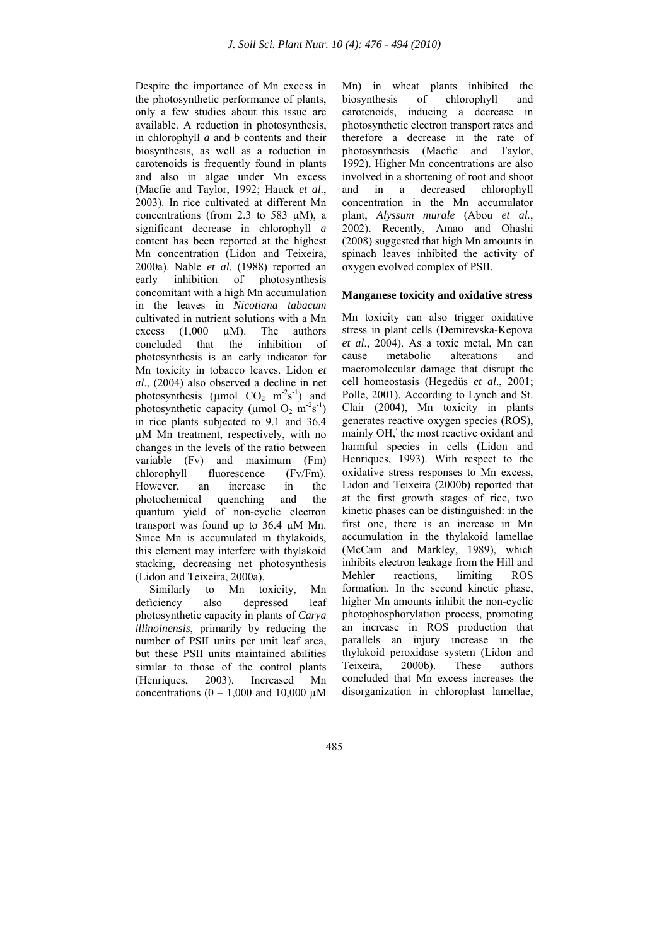Despite the importance of Mn excess in the photosynthetic performance of plants, only a few studies about this issue are available. A reduction in photosynthesis, in chlorophyll *a* and *b* contents and their biosynthesis, as well as a reduction in carotenoids is frequently found in plants and also in algae under Mn excess (Macfie and Taylor, 1992; Hauck *et al*., 2003). In rice cultivated at different Mn concentrations (from 2.3 to 583 µM), a significant decrease in chlorophyll *a* content has been reported at the highest Mn concentration (Lidon and Teixeira, 2000a). Nable *et al*. (1988) reported an early inhibition of photosynthesis concomitant with a high Mn accumulation in the leaves in *Nicotiana tabacum* cultivated in nutrient solutions with a Mn excess  $(1,000 \mu M)$ . The authors concluded that the inhibition of photosynthesis is an early indicator for Mn toxicity in tobacco leaves. Lidon *et al*., (2004) also observed a decline in net photosynthesis ( $\mu$ mol CO<sub>2</sub> m<sup>-2</sup>s<sup>-1</sup>) and photosynthetic capacity ( $\mu$ mol O<sub>2</sub> m<sup>-2</sup>s<sup>-1</sup>) in rice plants subjected to 9.1 and 36.4 µM Mn treatment, respectively, with no changes in the levels of the ratio between variable (Fv) and maximum (Fm) chlorophyll fluorescence (Fv/Fm). However, an increase in the photochemical quenching and the quantum yield of non-cyclic electron transport was found up to 36.4 µM Mn. Since Mn is accumulated in thylakoids, this element may interfere with thylakoid stacking, decreasing net photosynthesis (Lidon and Teixeira, 2000a).

 Similarly to Mn toxicity, Mn deficiency also depressed leaf photosynthetic capacity in plants of *Carya illinoinensis*, primarily by reducing the number of PSII units per unit leaf area, but these PSII units maintained abilities similar to those of the control plants (Henriques, 2003). Increased Mn concentrations  $(0 - 1,000)$  and  $10,000$   $\mu$ M

Mn) in wheat plants inhibited the<br>biosynthesis of chlorophyll and biosynthesis of chlorophyll and carotenoids, inducing a decrease in photosynthetic electron transport rates and therefore a decrease in the rate of photosynthesis (Macfie and Taylor, 1992). Higher Mn concentrations are also involved in a shortening of root and shoot and in a decreased chlorophyll concentration in the Mn accumulator plant, *Alyssum murale* (Abou *et al.*, 2002). Recently, Amao and Ohashi (2008) suggested that high Mn amounts in spinach leaves inhibited the activity of oxygen evolved complex of PSII.

#### **Manganese toxicity and oxidative stress**

Mn toxicity can also trigger oxidative stress in plant cells (Demirevska-Kepova *et al*., 2004). As a toxic metal, Mn can cause metabolic alterations and macromolecular damage that disrupt the cell homeostasis (Hegedüs *et al*., 2001; Polle, 2001). According to Lynch and St. Clair (2004), Mn toxicity in plants generates reactive oxygen species (ROS), mainly OH, the most reactive oxidant and harmful species in cells (Lidon and Henriques, 1993). With respect to the oxidative stress responses to Mn excess, Lidon and Teixeira (2000b) reported that at the first growth stages of rice, two kinetic phases can be distinguished: in the first one, there is an increase in Mn accumulation in the thylakoid lamellae (McCain and Markley, 1989), which inhibits electron leakage from the Hill and Mehler reactions, limiting ROS formation. In the second kinetic phase, higher Mn amounts inhibit the non-cyclic photophosphorylation process, promoting an increase in ROS production that parallels an injury increase in the thylakoid peroxidase system (Lidon and Teixeira, 2000b). These authors concluded that Mn excess increases the disorganization in chloroplast lamellae,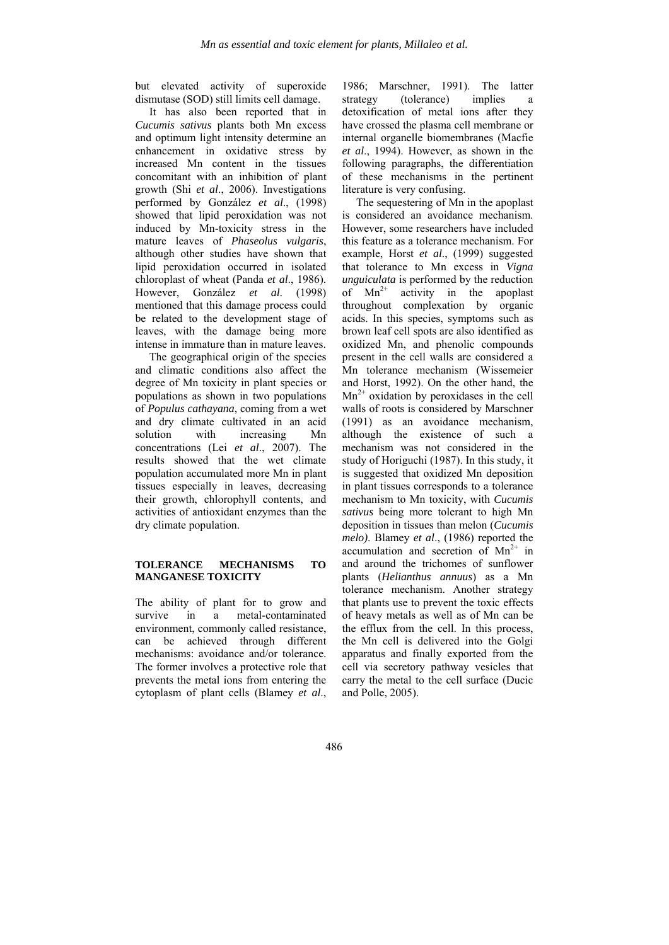but elevated activity of superoxide dismutase (SOD) still limits cell damage.

 It has also been reported that in *Cucumis sativus* plants both Mn excess and optimum light intensity determine an enhancement in oxidative stress by increased Mn content in the tissues concomitant with an inhibition of plant growth (Shi *et al*., 2006). Investigations performed by González *et al*., (1998) showed that lipid peroxidation was not induced by Mn-toxicity stress in the mature leaves of *Phaseolus vulgaris*, although other studies have shown that lipid peroxidation occurred in isolated chloroplast of wheat (Panda *et al*., 1986). However, González *et al*. (1998) mentioned that this damage process could be related to the development stage of leaves, with the damage being more intense in immature than in mature leaves.

 The geographical origin of the species and climatic conditions also affect the degree of Mn toxicity in plant species or populations as shown in two populations of *Populus cathayana*, coming from a wet and dry climate cultivated in an acid solution with increasing Mn concentrations (Lei *et al*., 2007). The results showed that the wet climate population accumulated more Mn in plant tissues especially in leaves, decreasing their growth, chlorophyll contents, and activities of antioxidant enzymes than the dry climate population.

#### **TOLERANCE MECHANISMS TO MANGANESE TOXICITY**

The ability of plant for to grow and survive in a metal-contaminated environment, commonly called resistance, can be achieved through different mechanisms: avoidance and/or tolerance. The former involves a protective role that prevents the metal ions from entering the cytoplasm of plant cells (Blamey *et al*.,

1986; Marschner, 1991). The latter strategy (tolerance) implies a detoxification of metal ions after they have crossed the plasma cell membrane or internal organelle biomembranes (Macfie *et al*., 1994). However, as shown in the following paragraphs, the differentiation of these mechanisms in the pertinent literature is very confusing.

 The sequestering of Mn in the apoplast is considered an avoidance mechanism. However, some researchers have included this feature as a tolerance mechanism. For example, Horst *et al*., (1999) suggested that tolerance to Mn excess in *Vigna unguiculata* is performed by the reduction of  $Mn^{2+}$  activity in the apoplast throughout complexation by organic acids. In this species, symptoms such as brown leaf cell spots are also identified as oxidized Mn, and phenolic compounds present in the cell walls are considered a Mn tolerance mechanism (Wissemeier and Horst, 1992). On the other hand, the  $Mn^{2+}$  oxidation by peroxidases in the cell walls of roots is considered by Marschner (1991) as an avoidance mechanism, although the existence of such a mechanism was not considered in the study of Horiguchi (1987). In this study, it is suggested that oxidized Mn deposition in plant tissues corresponds to a tolerance mechanism to Mn toxicity, with *Cucumis sativus* being more tolerant to high Mn deposition in tissues than melon (*Cucumis melo)*. Blamey *et al*., (1986) reported the accumulation and secretion of  $Mn^{2+}$  in and around the trichomes of sunflower plants (*Helianthus annuus*) as a Mn tolerance mechanism. Another strategy that plants use to prevent the toxic effects of heavy metals as well as of Mn can be the efflux from the cell. In this process, the Mn cell is delivered into the Golgi apparatus and finally exported from the cell via secretory pathway vesicles that carry the metal to the cell surface (Ducic and Polle, 2005).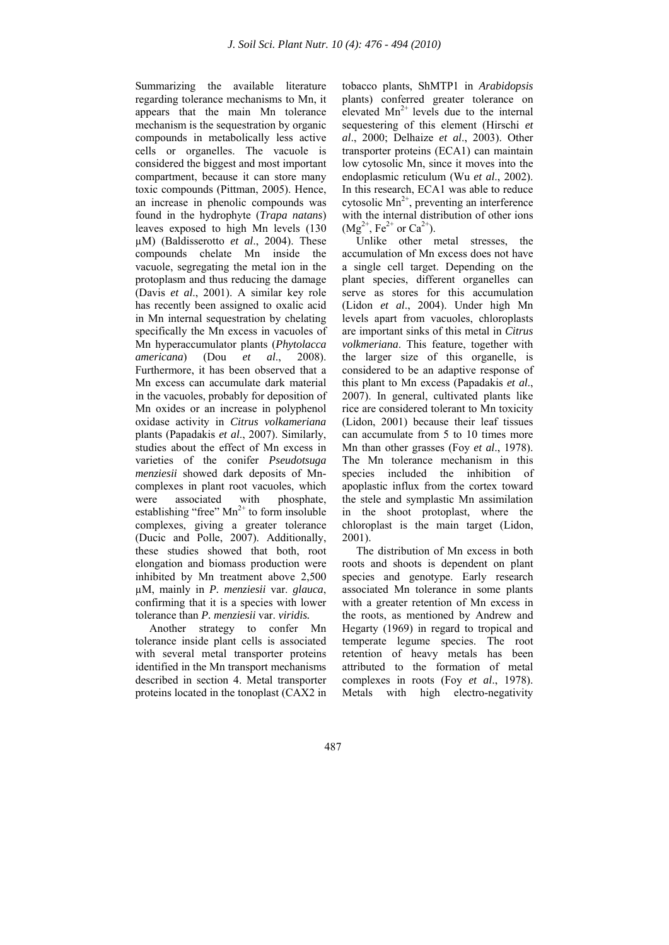Summarizing the available literature regarding tolerance mechanisms to Mn, it appears that the main Mn tolerance mechanism is the sequestration by organic compounds in metabolically less active cells or organelles. The vacuole is considered the biggest and most important compartment, because it can store many toxic compounds (Pittman, 2005). Hence, an increase in phenolic compounds was found in the hydrophyte (*Trapa natans*) leaves exposed to high Mn levels (130 µM) (Baldisserotto *et al*., 2004). These compounds chelate Mn inside the vacuole, segregating the metal ion in the protoplasm and thus reducing the damage (Davis *et al*., 2001). A similar key role has recently been assigned to oxalic acid in Mn internal sequestration by chelating specifically the Mn excess in vacuoles of Mn hyperaccumulator plants (*Phytolacca americana*) (Dou *et al*., 2008). Furthermore, it has been observed that a Mn excess can accumulate dark material in the vacuoles, probably for deposition of Mn oxides or an increase in polyphenol oxidase activity in *Citrus volkameriana* plants (Papadakis *et al*., 2007). Similarly, studies about the effect of Mn excess in varieties of the conifer *Pseudotsuga menziesii* showed dark deposits of Mncomplexes in plant root vacuoles, which were associated with phosphate, establishing "free"  $Mn^{2+}$  to form insoluble complexes, giving a greater tolerance (Ducic and Polle, 2007). Additionally, these studies showed that both, root elongation and biomass production were inhibited by Mn treatment above 2,500 µM, mainly in *P. menziesii* var. *glauca*, confirming that it is a species with lower tolerance than *P. menziesii* var. *viridis.* 

 Another strategy to confer Mn tolerance inside plant cells is associated with several metal transporter proteins identified in the Mn transport mechanisms described in section 4. Metal transporter proteins located in the tonoplast (CAX2 in

tobacco plants, ShMTP1 in *Arabidopsis* plants) conferred greater tolerance on elevated  $Mn^{2+}$  levels due to the internal sequestering of this element (Hirschi *et al*., 2000; Delhaize *et al*., 2003). Other transporter proteins (ECA1) can maintain low cytosolic Mn, since it moves into the endoplasmic reticulum (Wu *et al*., 2002). In this research, ECA1 was able to reduce cytosolic Mn<sup>2+</sup>, preventing an interference with the internal distribution of other ions  $(Mg^{2+}, Fe^{2+} \text{ or } Ca^{2+}).$ 

 Unlike other metal stresses, the accumulation of Mn excess does not have a single cell target. Depending on the plant species, different organelles can serve as stores for this accumulation (Lidon *et al*., 2004). Under high Mn levels apart from vacuoles, chloroplasts are important sinks of this metal in *Citrus volkmeriana*. This feature, together with the larger size of this organelle, is considered to be an adaptive response of this plant to Mn excess (Papadakis *et al*., 2007). In general, cultivated plants like rice are considered tolerant to Mn toxicity (Lidon, 2001) because their leaf tissues can accumulate from 5 to 10 times more Mn than other grasses (Foy *et al*., 1978). The Mn tolerance mechanism in this species included the inhibition of apoplastic influx from the cortex toward the stele and symplastic Mn assimilation in the shoot protoplast, where the chloroplast is the main target (Lidon, 2001).

 The distribution of Mn excess in both roots and shoots is dependent on plant species and genotype. Early research associated Mn tolerance in some plants with a greater retention of Mn excess in the roots, as mentioned by Andrew and Hegarty (1969) in regard to tropical and temperate legume species. The root retention of heavy metals has been attributed to the formation of metal complexes in roots (Foy *et al*., 1978). Metals with high electro-negativity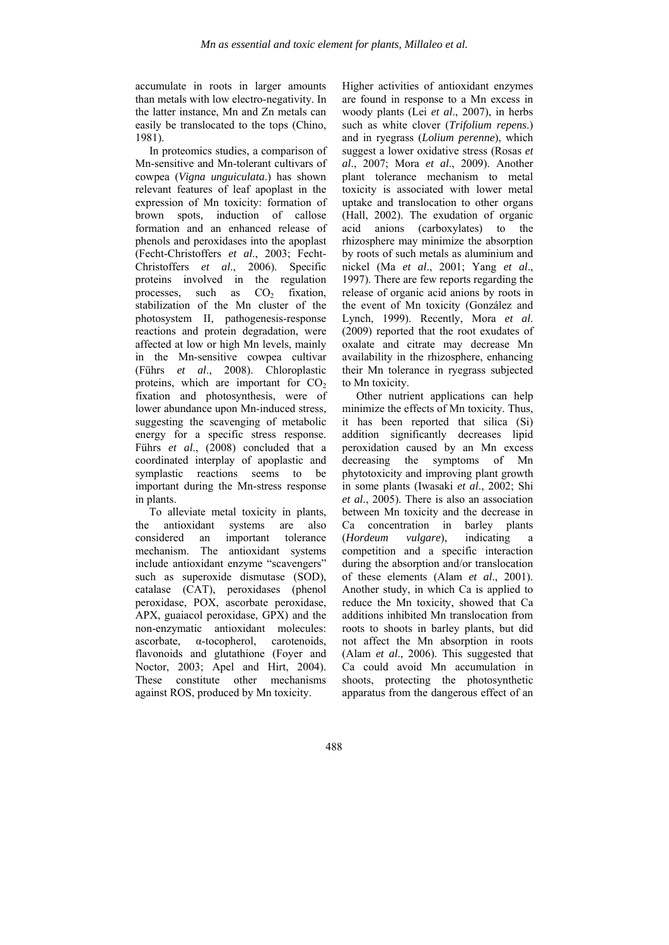accumulate in roots in larger amounts than metals with low electro-negativity. In the latter instance, Mn and Zn metals can easily be translocated to the tops (Chino, 1981).

 In proteomics studies, a comparison of Mn-sensitive and Mn-tolerant cultivars of cowpea (*Vigna unguiculata*.) has shown relevant features of leaf apoplast in the expression of Mn toxicity: formation of brown spots, induction of callose formation and an enhanced release of phenols and peroxidases into the apoplast (Fecht-Christoffers *et al*., 2003; Fecht-Christoffers *et al*., 2006). Specific proteins involved in the regulation processes, such as  $CO<sub>2</sub>$  fixation, stabilization of the Mn cluster of the photosystem II, pathogenesis-response reactions and protein degradation, were affected at low or high Mn levels, mainly in the Mn-sensitive cowpea cultivar (Führs *et al*., 2008). Chloroplastic proteins, which are important for  $CO<sub>2</sub>$ fixation and photosynthesis, were of lower abundance upon Mn-induced stress, suggesting the scavenging of metabolic energy for a specific stress response. Führs *et al.*, (2008) concluded that a coordinated interplay of apoplastic and symplastic reactions seems to be important during the Mn-stress response in plants.

 To alleviate metal toxicity in plants, the antioxidant systems are also considered an important tolerance mechanism. The antioxidant systems include antioxidant enzyme "scavengers" such as superoxide dismutase (SOD), catalase (CAT), peroxidases (phenol peroxidase, POX, ascorbate peroxidase, APX, guaiacol peroxidase, GPX) and the non-enzymatic antioxidant molecules: ascorbate, α-tocopherol, carotenoids, flavonoids and glutathione (Foyer and Noctor, 2003; Apel and Hirt, 2004). These constitute other mechanisms against ROS, produced by Mn toxicity.

Higher activities of antioxidant enzymes are found in response to a Mn excess in woody plants (Lei *et al*., 2007), in herbs such as white clover (*Trifolium repens*.) and in ryegrass (*Lolium perenne*), which suggest a lower oxidative stress (Rosas *et al*., 2007; Mora *et al*., 2009). Another plant tolerance mechanism to metal toxicity is associated with lower metal uptake and translocation to other organs (Hall, 2002). The exudation of organic acid anions (carboxylates) to the rhizosphere may minimize the absorption by roots of such metals as aluminium and nickel (Ma *et al*., 2001; Yang *et al*., 1997). There are few reports regarding the release of organic acid anions by roots in the event of Mn toxicity (González and Lynch, 1999). Recently, Mora *et al*. (2009) reported that the root exudates of oxalate and citrate may decrease Mn availability in the rhizosphere, enhancing their Mn tolerance in ryegrass subjected to Mn toxicity.

 Other nutrient applications can help minimize the effects of Mn toxicity. Thus, it has been reported that silica (Si) addition significantly decreases lipid peroxidation caused by an Mn excess decreasing the symptoms of Mn phytotoxicity and improving plant growth in some plants (Iwasaki *et al*., 2002; Shi *et al*., 2005). There is also an association between Mn toxicity and the decrease in Ca concentration in barley plants (*Hordeum vulgare*), indicating a competition and a specific interaction during the absorption and/or translocation of these elements (Alam *et al*., 2001). Another study, in which Ca is applied to reduce the Mn toxicity, showed that Ca additions inhibited Mn translocation from roots to shoots in barley plants, but did not affect the Mn absorption in roots (Alam *et al*., 2006). This suggested that Ca could avoid Mn accumulation in shoots, protecting the photosynthetic apparatus from the dangerous effect of an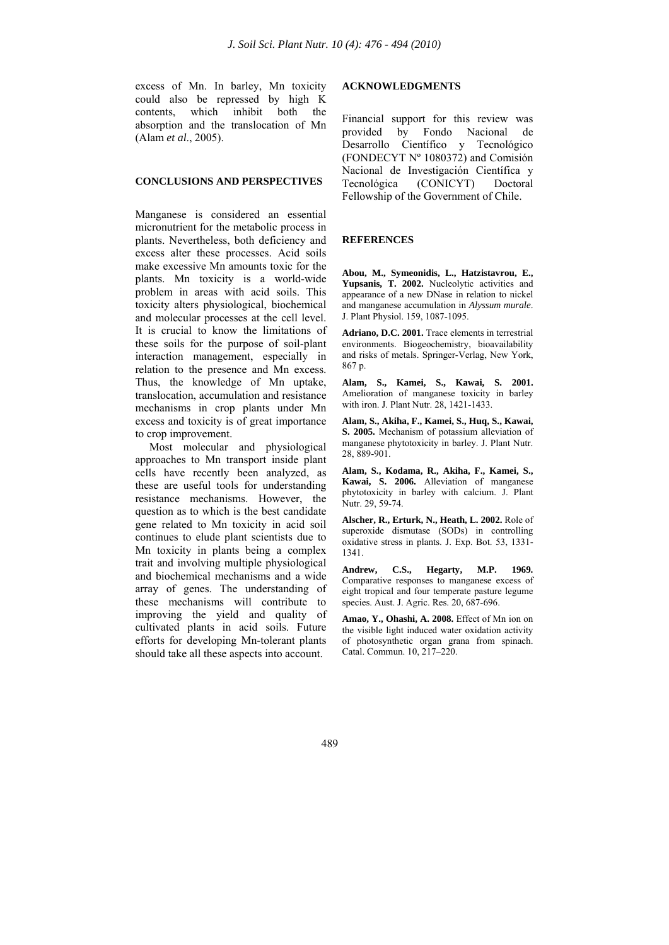excess of Mn. In barley, Mn toxicity could also be repressed by high K contents, which inhibit both the absorption and the translocation of Mn (Alam *et al*., 2005).

# **CONCLUSIONS AND PERSPECTIVES**

Manganese is considered an essential micronutrient for the metabolic process in plants. Nevertheless, both deficiency and excess alter these processes. Acid soils make excessive Mn amounts toxic for the plants. Mn toxicity is a world-wide problem in areas with acid soils. This toxicity alters physiological, biochemical and molecular processes at the cell level. It is crucial to know the limitations of these soils for the purpose of soil-plant interaction management, especially in relation to the presence and Mn excess. Thus, the knowledge of Mn uptake, translocation, accumulation and resistance mechanisms in crop plants under Mn excess and toxicity is of great importance to crop improvement.

 Most molecular and physiological approaches to Mn transport inside plant cells have recently been analyzed, as these are useful tools for understanding resistance mechanisms. However, the question as to which is the best candidate gene related to Mn toxicity in acid soil continues to elude plant scientists due to Mn toxicity in plants being a complex trait and involving multiple physiological and biochemical mechanisms and a wide array of genes. The understanding of these mechanisms will contribute to improving the yield and quality of cultivated plants in acid soils. Future efforts for developing Mn-tolerant plants should take all these aspects into account.

#### **ACKNOWLEDGMENTS**

Financial support for this review was provided by Fondo Nacional de Desarrollo Científico y Tecnológico (FONDECYT Nº 1080372) and Comisión Nacional de Investigación Científica y Tecnológica (CONICYT) Doctoral Fellowship of the Government of Chile.

# **REFERENCES**

**Abou, M., Symeonidis, L., Hatzistavrou, E., Yupsanis, T. 2002.** Nucleolytic activities and appearance of a new DNase in relation to nickel and manganese accumulation in *Alyssum murale*. J. Plant Physiol. 159, 1087-1095.

**Adriano, D.C. 2001.** Trace elements in terrestrial environments. Biogeochemistry, bioavailability and risks of metals. Springer-Verlag, New York, 867 p.

**Alam, S., Kamei, S., Kawai, S. 2001.**  Amelioration of manganese toxicity in barley with iron. J. Plant Nutr. 28, 1421-1433.

**Alam, S., Akiha, F., Kamei, S., Huq, S., Kawai, S. 2005.** Mechanism of potassium alleviation of manganese phytotoxicity in barley. J. Plant Nutr. 28, 889-901.

**Alam, S., Kodama, R., Akiha, F., Kamei, S., Kawai, S. 2006.** Alleviation of manganese phytotoxicity in barley with calcium. J. Plant Nutr. 29, 59-74.

**Alscher, R., Erturk, N., Heath, L. 2002.** Role of superoxide dismutase (SODs) in controlling oxidative stress in plants. J. Exp. Bot. 53, 1331- 1341.

**Andrew, C.S., Hegarty, M.P. 1969.**  Comparative responses to manganese excess of eight tropical and four temperate pasture legume species. Aust. J. Agric. Res. 20, 687-696.

**Amao, Y., Ohashi, A. 2008.** Effect of Mn ion on the visible light induced water oxidation activity of photosynthetic organ grana from spinach. Catal. Commun. 10, 217–220.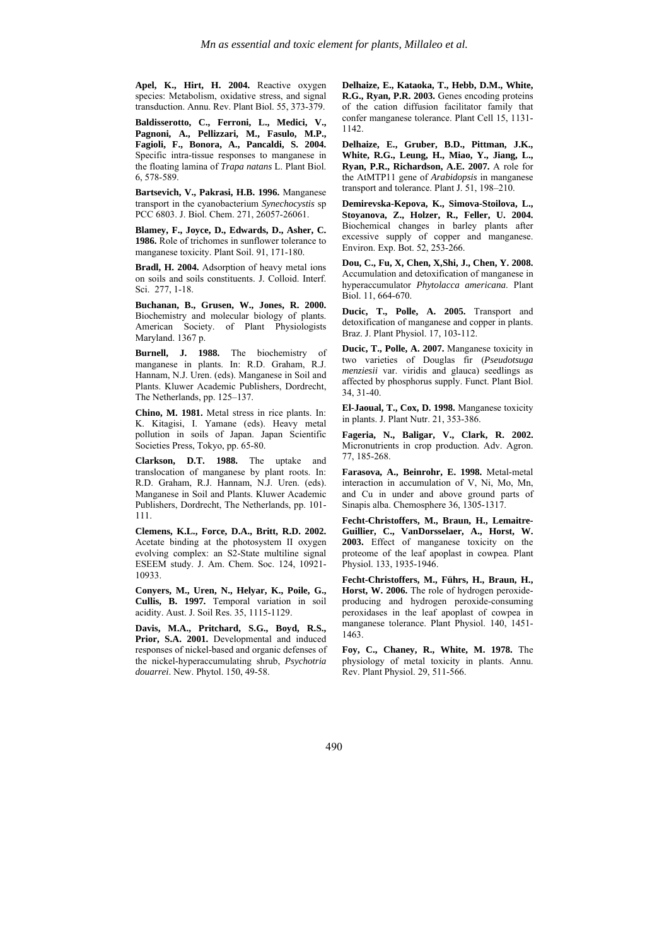**Apel, K., Hirt, H. 2004.** Reactive oxygen species: Metabolism, oxidative stress, and signal transduction. Annu. Rev. Plant Biol. 55, 373-379.

**Baldisserotto, C., Ferroni, L., Medici, V., Pagnoni, A., Pellizzari, M., Fasulo, M.P., Fagioli, F., Bonora, A., Pancaldi, S. 2004.**  Specific intra-tissue responses to manganese in the floating lamina of *Trapa natans* L. Plant Biol. 6, 578-589.

**Bartsevich, V., Pakrasi, H.B. 1996.** Manganese transport in the cyanobacterium *Synechocystis* sp PCC 6803. J. Biol. Chem. 271, 26057-26061.

**Blamey, F., Joyce, D., Edwards, D., Asher, C. 1986.** Role of trichomes in sunflower tolerance to manganese toxicity. Plant Soil. 91, 171-180.

**Bradl, H. 2004.** Adsorption of heavy metal ions on soils and soils constituents. J. Colloid. Interf. Sci. 277, 1-18.

**Buchanan, B., Grusen, W., Jones, R. 2000.**  Biochemistry and molecular biology of plants. American Society. of Plant Physiologists Maryland. 1367 p.

**Burnell, J. 1988.** The biochemistry of manganese in plants. In: R.D. Graham, R.J. Hannam, N.J. Uren. (eds). Manganese in Soil and Plants. Kluwer Academic Publishers, Dordrecht, The Netherlands, pp. 125–137.

**Chino, M. 1981.** Metal stress in rice plants. In: K. Kitagisi, I. Yamane (eds). Heavy metal pollution in soils of Japan. Japan Scientific Societies Press, Tokyo, pp. 65-80.

**Clarkson, D.T. 1988.** The uptake and translocation of manganese by plant roots. In: R.D. Graham, R.J. Hannam, N.J. Uren. (eds). Manganese in Soil and Plants. Kluwer Academic Publishers, Dordrecht, The Netherlands, pp. 101- 111.

**Clemens, K.L., Force, D.A., Britt, R.D. 2002.**  Acetate binding at the photosystem II oxygen evolving complex: an S2-State multiline signal ESEEM study. J. Am. Chem. Soc. 124, 10921- 10933.

**Conyers, M., Uren, N., Helyar, K., Poile, G., Cullis, B. 1997.** Temporal variation in soil acidity. Aust. J. Soil Res. 35, 1115-1129.

**Davis, M.A., Pritchard, S.G., Boyd, R.S.,**  Prior, S.A. 2001. Developmental and induced responses of nickel-based and organic defenses of the nickel-hyperaccumulating shrub, *Psychotria douarrei*. New. Phytol. 150, 49-58.

**Delhaize, E., Kataoka, T., Hebb, D.M., White, R.G., Ryan, P.R. 2003.** Genes encoding proteins of the cation diffusion facilitator family that confer manganese tolerance. Plant Cell 15, 1131- 1142.

**Delhaize, E., Gruber, B.D., Pittman, J.K., White, R.G., Leung, H., Miao, Y., Jiang, L., Ryan, P.R., Richardson, A.E. 2007.** A role for the AtMTP11 gene of *Arabidopsis* in manganese transport and tolerance. Plant J. 51, 198–210.

**Demirevska-Kepova, K., Simova-Stoilova, L., Stoyanova, Z., Holzer, R., Feller, U. 2004.**  Biochemical changes in barley plants after excessive supply of copper and manganese. Environ. Exp. Bot. 52, 253-266.

**Dou, C., Fu, X, Chen, X,Shi, J., Chen, Y. 2008.**  Accumulation and detoxification of manganese in hyperaccumulator *Phytolacca americana*. Plant Biol. 11, 664-670.

**Ducic, T., Polle, A. 2005.** Transport and detoxification of manganese and copper in plants. Braz. J. Plant Physiol. 17, 103-112.

**Ducic, T., Polle, A. 2007.** Manganese toxicity in two varieties of Douglas fir (*Pseudotsuga menziesii* var. viridis and glauca) seedlings as affected by phosphorus supply. Funct. Plant Biol. 34, 31-40.

**El-Jaoual, T., Cox, D. 1998.** Manganese toxicity in plants. J. Plant Nutr. 21, 353-386.

**Fageria, N., Baligar, V., Clark, R. 2002.**  Micronutrients in crop production. Adv. Agron. 77, 185-268.

**Farasova, A., Beinrohr, E. 1998.** Metal-metal interaction in accumulation of V, Ni, Mo, Mn, and Cu in under and above ground parts of Sinapis alba. Chemosphere 36, 1305-1317.

**Fecht-Christoffers, M., Braun, H., Lemaitre-Guillier, C., VanDorsselaer, A., Horst, W. 2003.** Effect of manganese toxicity on the proteome of the leaf apoplast in cowpea. Plant Physiol. 133, 1935-1946.

**Fecht-Christoffers, M., Führs, H., Braun, H., Horst, W. 2006.** The role of hydrogen peroxideproducing and hydrogen peroxide-consuming peroxidases in the leaf apoplast of cowpea in manganese tolerance. Plant Physiol. 140, 1451- 1463.

**Foy, C., Chaney, R., White, M. 1978.** The physiology of metal toxicity in plants. Annu. Rev. Plant Physiol. 29, 511-566.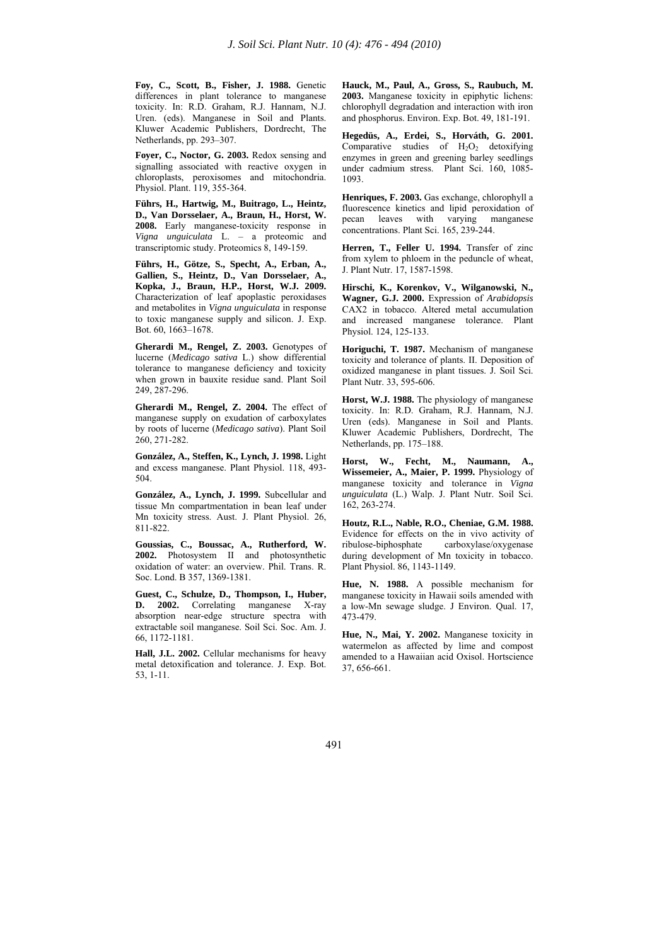**Foy, C., Scott, B., Fisher, J. 1988.** Genetic differences in plant tolerance to manganese toxicity. In: R.D. Graham, R.J. Hannam, N.J. Uren. (eds). Manganese in Soil and Plants. Kluwer Academic Publishers, Dordrecht, The Netherlands, pp. 293–307.

**Foyer, C., Noctor, G. 2003.** Redox sensing and signalling associated with reactive oxygen in chloroplasts, peroxisomes and mitochondria. Physiol. Plant. 119, 355-364.

**Führs, H., Hartwig, M., Buitrago, L., Heintz, D., Van Dorsselaer, A., Braun, H., Horst, W. 2008.** Early manganese-toxicity response in *Vigna unguiculata* L. – a proteomic and transcriptomic study. Proteomics 8, 149-159.

**Führs, H., Götze, S., Specht, A., Erban, A., Gallien, S., Heintz, D., Van Dorsselaer, A., Kopka, J., Braun, H.P., Horst, W.J. 2009.**  Characterization of leaf apoplastic peroxidases and metabolites in *Vigna unguiculata* in response to toxic manganese supply and silicon. J. Exp. Bot. 60, 1663–1678.

**Gherardi M., Rengel, Z. 2003.** Genotypes of lucerne (*Medicago sativa* L.) show differential tolerance to manganese deficiency and toxicity when grown in bauxite residue sand. Plant Soil 249, 287-296.

**Gherardi M., Rengel, Z. 2004.** The effect of manganese supply on exudation of carboxylates by roots of lucerne (*Medicago sativa*). Plant Soil 260, 271-282.

**González, A., Steffen, K., Lynch, J. 1998.** Light and excess manganese. Plant Physiol. 118, 493- 504.

**González, A., Lynch, J. 1999.** Subcellular and tissue Mn compartmentation in bean leaf under Mn toxicity stress. Aust. J. Plant Physiol. 26, 811-822.

**Goussias, C., Boussac, A., Rutherford, W. 2002.** Photosystem II and photosynthetic oxidation of water: an overview. Phil. Trans. R. Soc. Lond. B 357, 1369-1381.

**Guest, C., Schulze, D., Thompson, I., Huber, D. 2002.** Correlating manganese X-ray absorption near-edge structure spectra with extractable soil manganese. Soil Sci. Soc. Am. J. 66, 1172-1181.

**Hall, J.L. 2002.** Cellular mechanisms for heavy metal detoxification and tolerance. J. Exp. Bot. 53, 1-11.

**Hauck, M., Paul, A., Gross, S., Raubuch, M. 2003.** Manganese toxicity in epiphytic lichens: chlorophyll degradation and interaction with iron and phosphorus. Environ. Exp. Bot. 49, 181-191.

**Hegedüs, A., Erdei, S., Horváth, G. 2001.**  Comparative studies of  $H_2O_2$  detoxifying enzymes in green and greening barley seedlings under cadmium stress. Plant Sci. 160, 1085- 1093.

**Henriques, F. 2003.** Gas exchange, chlorophyll a fluorescence kinetics and lipid peroxidation of pecan leaves with varying manganese concentrations. Plant Sci. 165, 239-244.

**Herren, T., Feller U. 1994.** Transfer of zinc from xylem to phloem in the peduncle of wheat, J. Plant Nutr. 17, 1587-1598.

**Hirschi, K., Korenkov, V., Wilganowski, N., Wagner, G.J. 2000.** Expression of *Arabidopsis*  CAX2 in tobacco. Altered metal accumulation and increased manganese tolerance. Plant Physiol. 124, 125-133.

**Horiguchi, T. 1987.** Mechanism of manganese toxicity and tolerance of plants. II. Deposition of oxidized manganese in plant tissues. J. Soil Sci. Plant Nutr. 33, 595-606.

**Horst, W.J. 1988.** The physiology of manganese toxicity. In: R.D. Graham, R.J. Hannam, N.J. Uren (eds). Manganese in Soil and Plants. Kluwer Academic Publishers, Dordrecht, The Netherlands, pp. 175–188.

**Horst, W., Fecht, M., Naumann, A., Wissemeier, A., Maier, P. 1999.** Physiology of manganese toxicity and tolerance in *Vigna unguiculata* (L.) Walp. J. Plant Nutr. Soil Sci. 162, 263-274.

**Houtz, R.L., Nable, R.O., Cheniae, G.M. 1988.**  Evidence for effects on the in vivo activity of<br>ribulose-biphosphate carboxylase/oxygenase carboxylase/oxygenase during development of Mn toxicity in tobacco. Plant Physiol. 86, 1143-1149.

**Hue, N. 1988.** A possible mechanism for manganese toxicity in Hawaii soils amended with a low-Mn sewage sludge. J Environ. Qual. 17, 473-479.

**Hue, N., Mai, Y. 2002.** Manganese toxicity in watermelon as affected by lime and compost amended to a Hawaiian acid Oxisol. Hortscience 37, 656-661.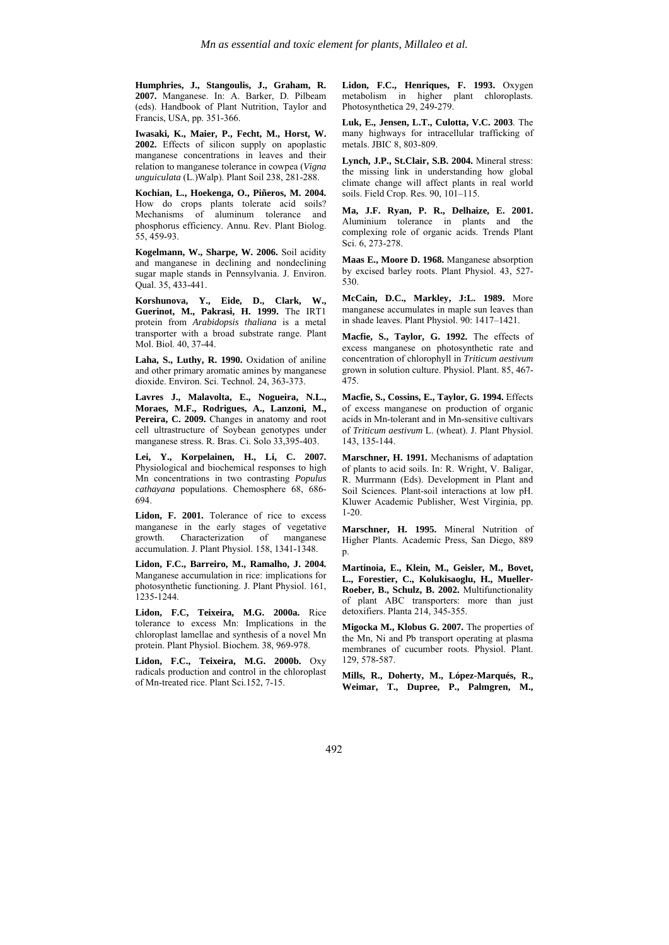**Humphries, J., Stangoulis, J., Graham, R. 2007.** Manganese. In: A. Barker, D. Pilbeam (eds). Handbook of Plant Nutrition, Taylor and Francis, USA, pp. 351-366.

**Iwasaki, K., Maier, P., Fecht, M., Horst, W. 2002.** Effects of silicon supply on apoplastic manganese concentrations in leaves and their relation to manganese tolerance in cowpea (*Vigna unguiculata* (L.)Walp). Plant Soil 238, 281-288.

**Kochian, L., Hoekenga, O., Piñeros, M. 2004.**  How do crops plants tolerate acid soils? Mechanisms of aluminum tolerance and phosphorus efficiency. Annu. Rev. Plant Biolog. 55, 459-93.

**Kogelmann, W., Sharpe, W. 2006.** Soil acidity and manganese in declining and nondeclining sugar maple stands in Pennsylvania. J. Environ. Qual. 35, 433-441.

**Korshunova, Y., Eide, D., Clark, W., Guerinot, M., Pakrasi, H. 1999.** The IRT1 protein from *Arabidopsis thaliana* is a metal transporter with a broad substrate range. Plant Mol. Biol. 40, 37-44.

Laha, S., Luthy, R. 1990. Oxidation of aniline and other primary aromatic amines by manganese dioxide. Environ. Sci. Technol. 24, 363-373.

**Lavres J., Malavolta, E., Nogueira, N.L., Moraes, M.F., Rodrigues, A., Lanzoni, M.,**  Pereira, C. 2009. Changes in anatomy and root cell ultrastructure of Soybean genotypes under manganese stress. R. Bras. Ci. Solo 33,395-403.

**Lei, Y., Korpelainen, H., Li, C. 2007.**  Physiological and biochemical responses to high Mn concentrations in two contrasting *Populus cathayana* populations. Chemosphere 68, 686- 694.

Lidon, F. 2001. Tolerance of rice to excess manganese in the early stages of vegetative growth. Characterization of manganese accumulation. J. Plant Physiol. 158, 1341-1348.

**Lidon, F.C., Barreiro, M., Ramalho, J. 2004.**  Manganese accumulation in rice: implications for photosynthetic functioning. J. Plant Physiol. 161, 1235-1244.

**Lidon, F.C, Teixeira, M.G. 2000a.** Rice tolerance to excess Mn: Implications in the chloroplast lamellae and synthesis of a novel Mn protein. Plant Physiol. Biochem. 38, 969-978.

**Lidon, F.C., Teixeira, M.G. 2000b.** Oxy radicals production and control in the chloroplast of Mn-treated rice. Plant Sci.152, 7-15.

**Lidon, F.C., Henriques, F. 1993.** Oxygen metabolism in higher plant chloroplasts. Photosynthetica 29, 249-279.

**Luk, E., Jensen, L.T., Culotta, V.C. 2003**. The many highways for intracellular trafficking of metals. JBIC 8, 803-809.

**Lynch, J.P., St.Clair, S.B. 2004.** Mineral stress: the missing link in understanding how global climate change will affect plants in real world soils. Field Crop. Res. 90, 101–115.

**Ma, J.F. Ryan, P. R., Delhaize, E. 2001.**  Aluminium tolerance in plants and the complexing role of organic acids. Trends Plant Sci. 6, 273-278.

**Maas E., Moore D. 1968.** Manganese absorption by excised barley roots. Plant Physiol. 43, 527- 530.

**McCain, D.C., Markley, J:L. 1989.** More manganese accumulates in maple sun leaves than in shade leaves. Plant Physiol. 90: 1417–1421.

**Macfie, S., Taylor, G. 1992.** The effects of excess manganese on photosynthetic rate and concentration of chlorophyll in *Triticum aestivum*  grown in solution culture. Physiol. Plant. 85, 467- 475.

**Macfie, S., Cossins, E., Taylor, G. 1994.** Effects of excess manganese on production of organic acids in Mn-tolerant and in Mn-sensitive cultivars of *Triticum aestivum* L. (wheat). J. Plant Physiol. 143, 135-144.

**Marschner, H. 1991.** Mechanisms of adaptation of plants to acid soils. In: R. Wright, V. Baligar, R. Murrmann (Eds). Development in Plant and Soil Sciences. Plant-soil interactions at low pH. Kluwer Academic Publisher, West Virginia, pp. 1-20.

**Marschner, H. 1995.** Mineral Nutrition of Higher Plants. Academic Press, San Diego, 889 p.

**Martinoia, E., Klein, M., Geisler, M., Bovet, L., Forestier, C., Kolukisaoglu, H., Mueller-Roeber, B., Schulz, B. 2002.** Multifunctionality of plant ABC transporters: more than just detoxifiers. Planta 214, 345-355.

**Migocka M., Klobus G. 2007.** The properties of the Mn, Ni and Pb transport operating at plasma membranes of cucumber roots. Physiol. Plant. 129, 578-587.

**Mills, R., Doherty, M., López-Marqués, R., Weimar, T., Dupree, P., Palmgren, M.,**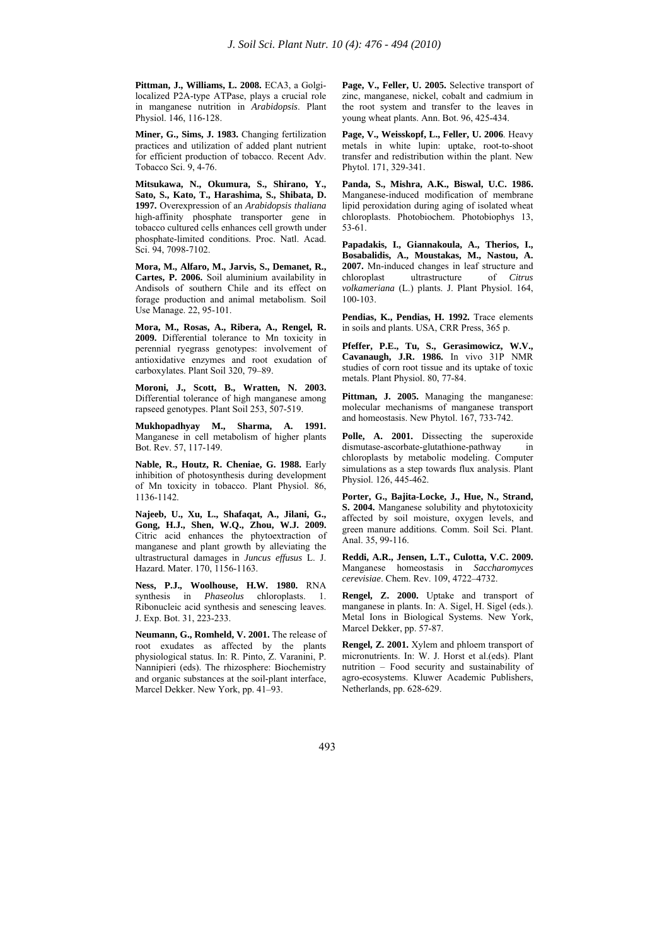**Pittman, J., Williams, L. 2008.** ECA3, a Golgilocalized P2A-type ATPase, plays a crucial role in manganese nutrition in *Arabidopsis*. Plant Physiol. 146, 116-128.

**Miner, G., Sims, J. 1983.** Changing fertilization practices and utilization of added plant nutrient for efficient production of tobacco. Recent Adv. Tobacco Sci. 9, 4-76.

**Mitsukawa, N., Okumura, S., Shirano, Y., Sato, S., Kato, T., Harashima, S., Shibata, D. 1997.** Overexpression of an *Arabidopsis thaliana* high-affinity phosphate transporter gene in tobacco cultured cells enhances cell growth under phosphate-limited conditions. Proc. Natl. Acad. Sci. 94, 7098-7102.

**Mora, M., Alfaro, M., Jarvis, S., Demanet, R., Cartes, P. 2006.** Soil aluminium availability in Andisols of southern Chile and its effect on forage production and animal metabolism. Soil Use Manage. 22, 95-101.

**Mora, M., Rosas, A., Ribera, A., Rengel, R. 2009.** Differential tolerance to Mn toxicity in perennial ryegrass genotypes: involvement of antioxidative enzymes and root exudation of carboxylates. Plant Soil 320, 79–89.

**Moroni, J., Scott, B., Wratten, N. 2003.**  Differential tolerance of high manganese among rapseed genotypes. Plant Soil 253, 507-519.

**Mukhopadhyay M., Sharma, A. 1991.**  Manganese in cell metabolism of higher plants Bot. Rev. 57, 117-149.

**Nable, R., Houtz, R. Cheniae, G. 1988.** Early inhibition of photosynthesis during development of Mn toxicity in tobacco. Plant Physiol. 86, 1136-1142.

**Najeeb, U., Xu, L., Shafaqat, A., Jilani, G., Gong, H.J., Shen, W.Q., Zhou, W.J. 2009.** Citric acid enhances the phytoextraction of manganese and plant growth by alleviating the ultrastructural damages in *Juncus effusus* L. J. Hazard. Mater. 170, 1156-1163.

**Ness, P.J., Woolhouse, H.W. 1980.** RNA synthesis in *Phaseolus* chloroplasts. 1. Ribonucleic acid synthesis and senescing leaves. J. Exp. Bot. 31, 223-233.

**Neumann, G., Romheld, V. 2001.** The release of root exudates as affected by the plants physiological status. In: R. Pinto, Z. Varanini, P. Nannipieri (eds). The rhizosphere: Biochemistry and organic substances at the soil-plant interface, Marcel Dekker. New York, pp. 41–93.

Page, V., Feller, U. 2005. Selective transport of zinc, manganese, nickel, cobalt and cadmium in the root system and transfer to the leaves in young wheat plants. Ann. Bot. 96, 425-434.

**Page, V., Weisskopf, L., Feller, U. 2006**. Heavy metals in white lupin: uptake, root-to-shoot transfer and redistribution within the plant. New Phytol. 171, 329-341.

**Panda, S., Mishra, A.K., Biswal, U.C. 1986.**  Manganese-induced modification of membrane lipid peroxidation during aging of isolated wheat chloroplasts. Photobiochem. Photobiophys 13, 53-61.

**Papadakis, I., Giannakoula, A., Therios, I., Bosabalidis, A., Moustakas, M., Nastou, A. 2007.** Mn-induced changes in leaf structure and chloroplast ultrastructure of *Citrus volkameriana* (L.) plants. J. Plant Physiol. 164, 100-103.

**Pendias, K., Pendias, H. 1992.** Trace elements in soils and plants. USA, CRR Press, 365 p.

**Pfeffer, P.E., Tu, S., Gerasimowicz, W.V., Cavanaugh, J.R. 1986.** In vivo 31P NMR studies of corn root tissue and its uptake of toxic metals. Plant Physiol. 80, 77-84.

**Pittman, J. 2005.** Managing the manganese: molecular mechanisms of manganese transport and homeostasis. New Phytol. 167, 733-742.

Polle, A. 2001. Dissecting the superoxide dismutase-ascorbate-glutathione-pathway in chloroplasts by metabolic modeling. Computer simulations as a step towards flux analysis. Plant Physiol. 126, 445-462.

**Porter, G., Bajita-Locke, J., Hue, N., Strand, S. 2004.** Manganese solubility and phytotoxicity affected by soil moisture, oxygen levels, and green manure additions. Comm. Soil Sci. Plant. Anal. 35, 99-116.

**Reddi, A.R., Jensen, L.T., Culotta, V.C. 2009.**  Manganese homeostasis in *Saccharomyces cerevisiae*. Chem. Rev. 109, 4722–4732.

**Rengel, Z. 2000.** Uptake and transport of manganese in plants. In: A. Sigel, H. Sigel (eds.). Metal Ions in Biological Systems. New York, Marcel Dekker, pp. 57-87.

**Rengel, Z. 2001.** Xylem and phloem transport of micronutrients. In: W. J. Horst et al.(eds). Plant nutrition – Food security and sustainability of agro-ecosystems. Kluwer Academic Publishers, Netherlands, pp. 628-629.